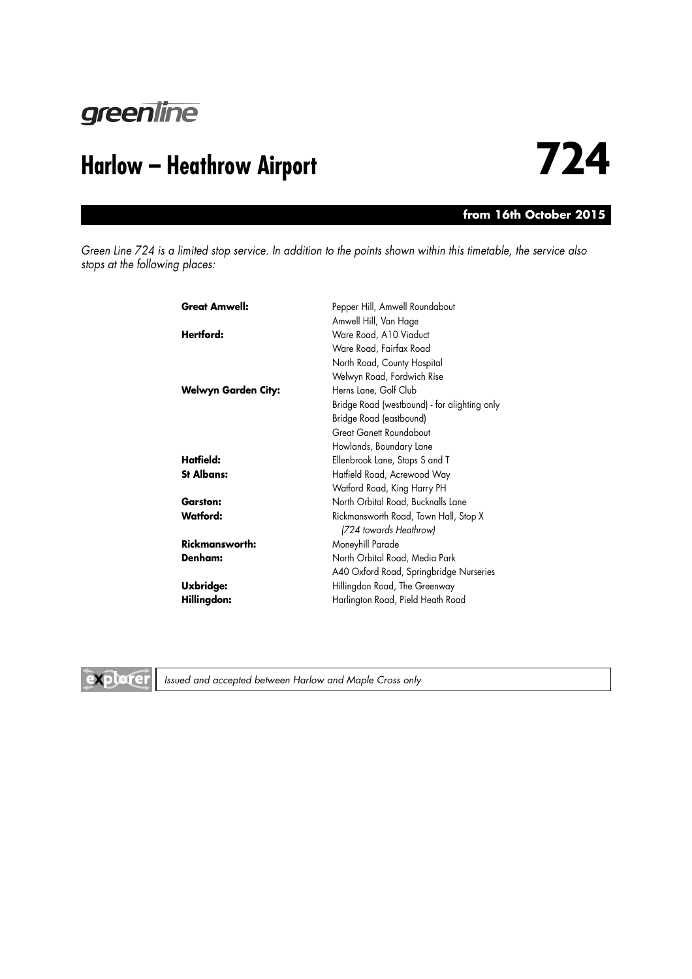

### **from 16th October 2015**

*Green Line 724 is a limited stop service. In addition to the points shown within this timetable, the service also stops at the following places:*

| <b>Great Amwell:</b>  | Pepper Hill, Amwell Roundabout               |
|-----------------------|----------------------------------------------|
|                       | Amwell Hill, Van Hage                        |
| Hertford:             | Ware Road, A10 Viaduct                       |
|                       | Ware Road, Fairfax Road                      |
|                       | North Road, County Hospital                  |
|                       | Welwyn Road, Fordwich Rise                   |
| Welwyn Garden City:   | Herns Lane, Golf Club                        |
|                       | Bridge Road (westbound) - for alighting only |
|                       | Bridge Road (eastbound)                      |
|                       | <b>Great Ganett Roundabout</b>               |
|                       | Howlands, Boundary Lane                      |
| Hatfield:             | Ellenbrook Lane, Stops S and T               |
| <b>St Albans:</b>     | Hatfield Road, Acrewood Way                  |
|                       | Watford Road, King Harry PH                  |
| <b>Garston:</b>       | North Orbital Road, Bucknalls Lane           |
| <b>Watford:</b>       | Rickmansworth Road, Town Hall, Stop X        |
|                       | (724 towards Heathrow)                       |
| <b>Rickmansworth:</b> | Moneyhill Parade                             |
| Denham:               | North Orbital Road, Media Park               |
|                       | A40 Oxford Road, Springbridge Nurseries      |
| <b>Uxbridge:</b>      | Hillingdon Road, The Greenway                |
| Hillingdon:           | Harlington Road, Pield Heath Road            |



*Issued and accepted between Harlow and Maple Cross only*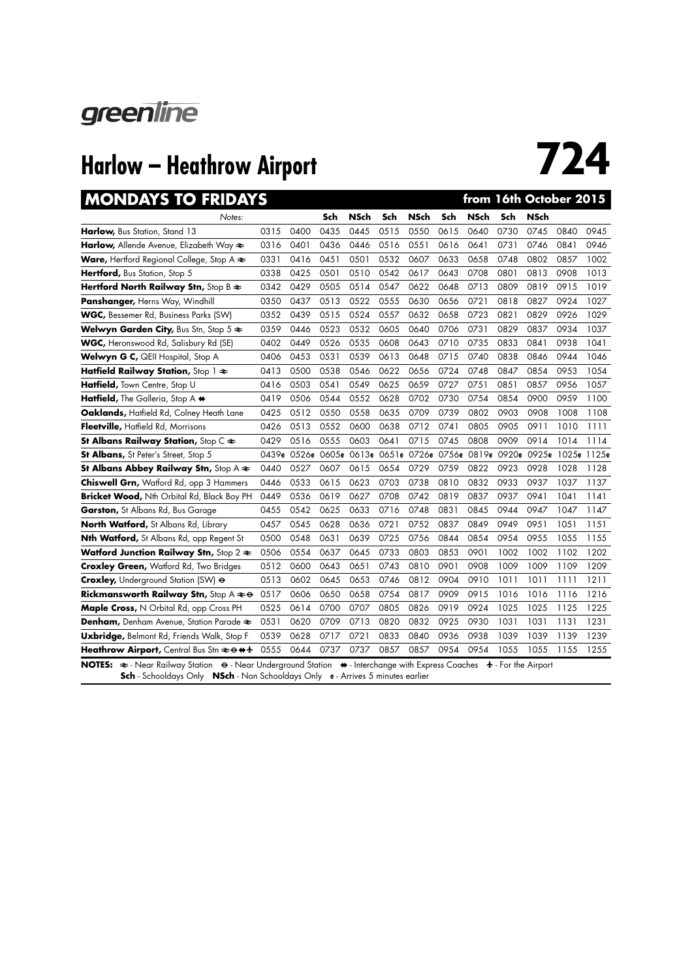

| <b>MONDAYS TO FRIDAYS</b>                                                                                                                                                                                                                                                        |      |      |      |             |      |                                                 |      | from 16th October 2015 |      |             |                         |      |
|----------------------------------------------------------------------------------------------------------------------------------------------------------------------------------------------------------------------------------------------------------------------------------|------|------|------|-------------|------|-------------------------------------------------|------|------------------------|------|-------------|-------------------------|------|
| Notes:                                                                                                                                                                                                                                                                           |      |      | Sch  | <b>NSch</b> | Sch  | <b>NSch</b>                                     | Sch  | <b>NSch</b>            | Sch  | <b>NSch</b> |                         |      |
| Harlow, Bus Station, Stand 13                                                                                                                                                                                                                                                    | 0315 | 0400 | 0435 | 0445        | 0515 | 0550                                            | 0615 | 0640                   | 0730 | 0745        | 0840                    | 0945 |
| <b>Harlow,</b> Allende Avenue, Elizabeth Way <del>≷</del>                                                                                                                                                                                                                        | 0316 | 0401 | 0436 | 0446        | 0516 | 0551                                            | 0616 | 0641                   | 0731 | 0746        | 0841                    | 0946 |
| <b>Ware, Hertford Regional College, Stop A <math>\approx</math></b>                                                                                                                                                                                                              | 0331 | 0416 | 0451 | 0501        | 0532 | 0607                                            | 0633 | 0658                   | 0748 | 0802        | 0857                    | 1002 |
| Hertford, Bus Station, Stop 5                                                                                                                                                                                                                                                    | 0338 | 0425 | 0501 | 0510        | 0542 | 0617                                            | 0643 | 0708                   | 0801 | 0813        | 0908                    | 1013 |
| Hertford North Railway Stn, Stop B $\approx$                                                                                                                                                                                                                                     | 0342 | 0429 | 0505 | 0514        | 0547 | 0622                                            | 0648 | 0713                   | 0809 | 0819        | 0915                    | 1019 |
| Panshanger, Herns Way, Windhill                                                                                                                                                                                                                                                  | 0350 | 0437 | 0513 | 0522        | 0555 | 0630                                            | 0656 | 0721                   | 0818 | 0827        | 0924                    | 1027 |
| WGC, Bessemer Rd, Business Parks (SW)                                                                                                                                                                                                                                            | 0352 | 0439 | 0515 | 0524        | 0557 | 0632                                            | 0658 | 0723                   | 0821 | 0829        | 0926                    | 1029 |
| <b>Welwyn Garden City, Bus Stn, Stop 5 <math>\approx</math></b>                                                                                                                                                                                                                  | 0359 | 0446 | 0523 | 0532        | 0605 | 0640                                            | 0706 | 0731                   | 0829 | 0837        | 0934                    | 1037 |
| <b>WGC, Heronswood Rd, Salisbury Rd (SE)</b>                                                                                                                                                                                                                                     | 0402 | 0449 | 0526 | 0535        | 0608 | 0643                                            | 0710 | 0735                   | 0833 | 0841        | 0938                    | 1041 |
| Welwyn G C, QEII Hospital, Stop A                                                                                                                                                                                                                                                | 0406 | 0453 | 0531 | 0539        | 0613 | 0648                                            | 0715 | 0740                   | 0838 | 0846        | 0944                    | 1046 |
| Hatfield Railway Station, Stop $1 \approx$                                                                                                                                                                                                                                       | 0413 | 0500 | 0538 | 0546        | 0622 | 0656                                            | 0724 | 0748                   | 0847 | 0854        | 0953                    | 1054 |
| Hatfield, Town Centre, Stop U                                                                                                                                                                                                                                                    | 0416 | 0503 | 0541 | 0549        | 0625 | 0659                                            | 0727 | 0751                   | 0851 | 0857        | 0956                    | 1057 |
| Hatfield, The Galleria, Stop A +                                                                                                                                                                                                                                                 | 0419 | 0506 | 0544 | 0552        | 0628 | 0702                                            | 0730 | 0754                   | 0854 | 0900        | 0959                    | 1100 |
| Oaklands, Haffield Rd, Colney Heath Lane                                                                                                                                                                                                                                         | 0425 | 0512 | 0550 | 0558        | 0635 | 0709                                            | 0739 | 0802                   | 0903 | 0908        | 1008                    | 1108 |
| Fleetville, Hatfield Rd, Morrisons                                                                                                                                                                                                                                               | 0426 | 0513 | 0552 | 0600        | 0638 | 0712                                            | 0741 | 0805                   | 0905 | 0911        | 1010                    | 1111 |
| St Albans Railway Station, Stop $C \rightleftarrows$                                                                                                                                                                                                                             | 0429 | 0516 | 0555 | 0603        | 0641 | 0715                                            | 0745 | 0808                   | 0909 | 0914        | 1014                    | 1114 |
| <b>St Albans, St Peter's Street, Stop 5</b>                                                                                                                                                                                                                                      |      |      |      |             |      | 0439e 0526e 0605e 0613e 0651e 0726e 0756e 0819e |      |                        |      |             | 0920e 0925e 1025e 1125e |      |
| St Albans Abbey Railway Stn, Stop A $\approx$                                                                                                                                                                                                                                    | 0440 | 0527 | 0607 | 0615        | 0654 | 0729                                            | 0759 | 0822                   | 0923 | 0928        | 1028                    | 1128 |
| <b>Chiswell Grn, Watford Rd, opp 3 Hammers</b>                                                                                                                                                                                                                                   | 0446 | 0533 | 0615 | 0623        | 0703 | 0738                                            | 0810 | 0832                   | 0933 | 0937        | 1037                    | 1137 |
| Bricket Wood, Nth Orbital Rd, Black Boy PH                                                                                                                                                                                                                                       | 0449 | 0536 | 0619 | 0627        | 0708 | 0742                                            | 0819 | 0837                   | 0937 | 0941        | 1041                    | 1141 |
| Garston, St Albans Rd, Bus Garage                                                                                                                                                                                                                                                | 0455 | 0542 | 0625 | 0633        | 0716 | 0748                                            | 0831 | 0845                   | 0944 | 0947        | 1047                    | 1147 |
| North Watford, St Albans Rd, Library                                                                                                                                                                                                                                             | 0457 | 0545 | 0628 | 0636        | 0721 | 0752                                            | 0837 | 0849                   | 0949 | 0951        | 1051                    | 1151 |
| Nth Watford, St Albans Rd, opp Regent St                                                                                                                                                                                                                                         | 0500 | 0548 | 0631 | 0639        | 0725 | 0756                                            | 0844 | 0854                   | 0954 | 0955        | 1055                    | 1155 |
| <b>Watford Junction Railway Stn,</b> Stop 2 $\approx$                                                                                                                                                                                                                            | 0506 | 0554 | 0637 | 0645        | 0733 | 0803                                            | 0853 | 0901                   | 1002 | 1002        | 1102                    | 1202 |
| <b>Croxley Green, Watford Rd, Two Bridges</b>                                                                                                                                                                                                                                    | 0512 | 0600 | 0643 | 0651        | 0743 | 0810                                            | 0901 | 0908                   | 1009 | 1009        | 1109                    | 1209 |
| Croxley, Underground Station (SW) $\Theta$                                                                                                                                                                                                                                       | 0513 | 0602 | 0645 | 0653        | 0746 | 0812                                            | 0904 | 0910                   | 1011 | 1011        | 1111                    | 1211 |
| <b>Rickmansworth Railway Stn, Stop A <math>\neq \Theta</math></b>                                                                                                                                                                                                                | 0517 | 0606 | 0650 | 0658        | 0754 | 0817                                            | 0909 | 0915                   | 1016 | 1016        | 1116                    | 1216 |
| Maple Cross, N Orbital Rd, opp Cross PH                                                                                                                                                                                                                                          | 0525 | 0614 | 0700 | 0707        | 0805 | 0826                                            | 0919 | 0924                   | 1025 | 1025        | 1125                    | 1225 |
| Denham, Denham Avenue, Station Parade $\approx$                                                                                                                                                                                                                                  | 0531 | 0620 | 0709 | 0713        | 0820 | 0832                                            | 0925 | 0930                   | 1031 | 1031        | 1131                    | 1231 |
| <b>Uxbridge, Belmont Rd, Friends Walk, Stop F</b>                                                                                                                                                                                                                                | 0539 | 0628 | 0717 | 0721        | 0833 | 0840                                            | 0936 | 0938                   | 1039 | 1039        | 1139                    | 1239 |
| Heathrow Airport, Central Bus Stn $\approx$ $\leftrightarrow$ $\leftrightarrow$ $\star$                                                                                                                                                                                          | 0555 | 0644 | 0737 | 0737        | 0857 | 0857                                            | 0954 | 0954                   | 1055 | 1055        | 1155                    | 1255 |
| NOTES: $\Rightarrow$ Near Railway Station $\leftrightarrow$ Near Underground Station $\leftrightarrow$ Interchange with Express Coaches $\leftrightarrow$ For the Airport<br><b>Sch</b> - Schooldays Only <b>NSch</b> - Non Schooldays Only <b>e</b> - Arrives 5 minutes earlier |      |      |      |             |      |                                                 |      |                        |      |             |                         |      |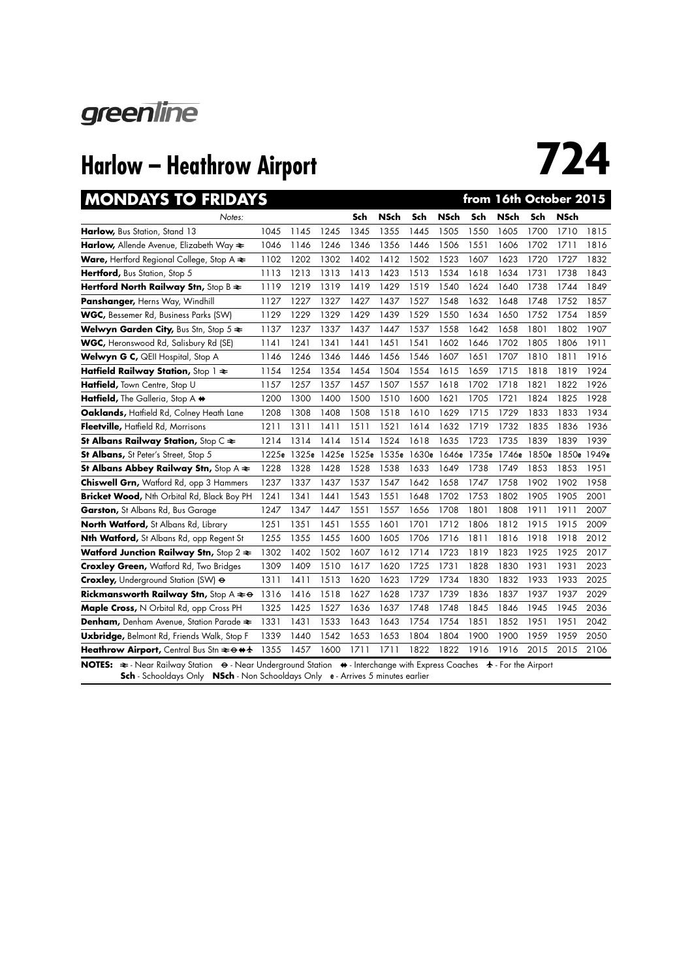

| <b>MONDAYS TO FRIDAYS</b>                                                                                                                                                                                                          |       |       |      |      |                         |      |       |       | from 16th October 2015 |      |                   |      |
|------------------------------------------------------------------------------------------------------------------------------------------------------------------------------------------------------------------------------------|-------|-------|------|------|-------------------------|------|-------|-------|------------------------|------|-------------------|------|
| Notes:                                                                                                                                                                                                                             |       |       |      | Sch  | <b>NSch</b>             | Sch  | NSch  | Sch   | <b>NSch</b>            | Sch  | <b>NSch</b>       |      |
| Harlow, Bus Station, Stand 13                                                                                                                                                                                                      | 1045  | 1145  | 1245 | 1345 | 1355                    | 1445 | 1505  | 1550  | 1605                   | 1700 | 1710              | 1815 |
| Harlow, Allende Avenue, Elizabeth Way $\approx$                                                                                                                                                                                    | 1046  | 1146  | 1246 | 1346 | 1356                    | 1446 | 1506  | 1551  | 1606                   | 1702 | 1711              | 1816 |
| Ware, Hertford Regional College, Stop A $\triangle$                                                                                                                                                                                | 1102  | 1202  | 1302 | 1402 | 1412                    | 1502 | 1523  | 1607  | 1623                   | 1720 | 1727              | 1832 |
| Hertford, Bus Station, Stop 5                                                                                                                                                                                                      | 1113  | 1213  | 1313 | 1413 | 1423                    | 1513 | 1534  | 1618  | 1634                   | 1731 | 1738              | 1843 |
| Hertford North Railway Stn, Stop B $\approx$                                                                                                                                                                                       | 1119  | 1219  | 1319 | 1419 | 1429                    | 1519 | 1540  | 1624  | 1640                   | 1738 | 1744              | 1849 |
| <b>Panshanger, Herns Way, Windhill</b>                                                                                                                                                                                             | 1127  | 1227  | 1327 | 1427 | 1437                    | 1527 | 1548  | 1632  | 1648                   | 1748 | 1752              | 1857 |
| WGC, Bessemer Rd, Business Parks (SW)                                                                                                                                                                                              | 1129  | 1229  | 1329 | 1429 | 1439                    | 1529 | 1550  | 1634  | 1650                   | 1752 | 1754              | 1859 |
| Welwyn Garden City, Bus Stn, Stop $5 \approx$                                                                                                                                                                                      | 1137  | 1237  | 1337 | 1437 | 1447                    | 1537 | 1558  | 1642  | 1658                   | 1801 | 1802              | 1907 |
| <b>WGC, Heronswood Rd, Salisbury Rd (SE)</b>                                                                                                                                                                                       | 1141  | 1241  | 1341 | 1441 | 1451                    | 1541 | 1602  | 1646  | 1702                   | 1805 | 1806              | 1911 |
| Welwyn G C, QEII Hospital, Stop A                                                                                                                                                                                                  | 1146  | 1246  | 1346 | 1446 | 1456                    | 1546 | 1607  | 1651  | 1707                   | 1810 | 1811              | 1916 |
| Hatfield Railway Station, Stop $1 \approx$                                                                                                                                                                                         | 1154  | 1254  | 1354 | 1454 | 1504                    | 1554 | 1615  | 1659  | 1715                   | 1818 | 1819              | 1924 |
| Hatfield, Town Centre, Stop U                                                                                                                                                                                                      | 1157  | 1257  | 1357 | 1457 | 1507                    | 1557 | 1618  | 1702  | 1718                   | 1821 | 1822              | 1926 |
| Hatfield, The Galleria, Stop A +                                                                                                                                                                                                   | 1200  | 1300  | 1400 | 1500 | 1510                    | 1600 | 1621  | 1705  | 1721                   | 1824 | 1825              | 1928 |
| Oaklands, Hatfield Rd, Colney Heath Lane                                                                                                                                                                                           | 1208  | 1308  | 1408 | 1508 | 1518                    | 1610 | 1629  | 1715  | 1729                   | 1833 | 1833              | 1934 |
| Fleetville, Hatfield Rd, Morrisons                                                                                                                                                                                                 | 1211  | 1311  | 1411 | 1511 | 1521                    | 1614 | 1632  | 1719  | 1732                   | 1835 | 1836              | 1936 |
| St Albans Railway Station, Stop $C \rightleftarrows$                                                                                                                                                                               | 1214  | 1314  | 1414 | 1514 | 1524                    | 1618 | 1635  | 1723  | 1735                   | 1839 | 1839              | 1939 |
| St Albans, St Peter's Street, Stop 5                                                                                                                                                                                               | 1225e | 1325e |      |      | 1425e 1525e 1535e 1630e |      | 1646e | 1735e | 1746e                  |      | 1850e 1850e 1949e |      |
| St Albans Abbey Railway Stn, Stop A $\Leftarrow$                                                                                                                                                                                   | 1228  | 1328  | 1428 | 1528 | 1538                    | 1633 | 1649  | 1738  | 1749                   | 1853 | 1853              | 1951 |
| <b>Chiswell Grn, Watford Rd, opp 3 Hammers</b>                                                                                                                                                                                     | 1237  | 1337  | 1437 | 1537 | 1547                    | 1642 | 1658  | 1747  | 1758                   | 1902 | 1902              | 1958 |
| Bricket Wood, Nth Orbital Rd, Black Boy PH                                                                                                                                                                                         | 1241  | 1341  | 1441 | 1543 | 1551                    | 1648 | 1702  | 1753  | 1802                   | 1905 | 1905              | 2001 |
| <b>Garston, St Albans Rd, Bus Garage</b>                                                                                                                                                                                           | 1247  | 1347  | 1447 | 1551 | 1557                    | 1656 | 1708  | 1801  | 1808                   | 1911 | 1911              | 2007 |
| North Watford, St Albans Rd, Library                                                                                                                                                                                               | 1251  | 1351  | 1451 | 1555 | 1601                    | 1701 | 1712  | 1806  | 1812                   | 1915 | 1915              | 2009 |
| Nth Watford, St Albans Rd, opp Regent St                                                                                                                                                                                           | 1255  | 1355  | 1455 | 1600 | 1605                    | 1706 | 1716  | 1811  | 1816                   | 1918 | 1918              | 2012 |
| Watford Junction Railway Stn, Stop $2 \approx$                                                                                                                                                                                     | 1302  | 1402  | 1502 | 1607 | 1612                    | 1714 | 1723  | 1819  | 1823                   | 1925 | 1925              | 2017 |
| <b>Croxley Green, Watford Rd, Two Bridges</b>                                                                                                                                                                                      | 1309  | 1409  | 1510 | 1617 | 1620                    | 1725 | 1731  | 1828  | 1830                   | 1931 | 1931              | 2023 |
| Croxley, Underground Station (SW) $\Theta$                                                                                                                                                                                         | 1311  | 1411  | 1513 | 1620 | 1623                    | 1729 | 1734  | 1830  | 1832                   | 1933 | 1933              | 2025 |
| <b>Rickmansworth Railway Stn, Stop A <math>\neq \Theta</math></b>                                                                                                                                                                  | 1316  | 1416  | 1518 | 1627 | 1628                    | 1737 | 1739  | 1836  | 1837                   | 1937 | 1937              | 2029 |
| Maple Cross, N Orbital Rd, opp Cross PH                                                                                                                                                                                            | 1325  | 1425  | 1527 | 1636 | 1637                    | 1748 | 1748  | 1845  | 1846                   | 1945 | 1945              | 2036 |
| Denham, Denham Avenue, Station Parade $\approx$                                                                                                                                                                                    | 1331  | 1431  | 1533 | 1643 | 1643                    | 1754 | 1754  | 1851  | 1852                   | 1951 | 1951              | 2042 |
| Uxbridge, Belmont Rd, Friends Walk, Stop F                                                                                                                                                                                         | 1339  | 1440  | 1542 | 1653 | 1653                    | 1804 | 1804  | 1900  | 1900                   | 1959 | 1959              | 2050 |
| Heathrow Airport, Central Bus Stn $\approx$ 0 + 1                                                                                                                                                                                  | 1355  | 1457  | 1600 | 1711 | 1711                    | 1822 | 1822  | 1916  | 1916                   | 2015 | 2015              | 2106 |
| NOTES: ₹ - Near Railway Station ⊕ - Near Underground Station ♦ - Interchange with Express Coaches $\star$ - For the Airport<br><b>Sch</b> - Schooldays Only <b>NSch</b> - Non Schooldays Only <b>e</b> - Arrives 5 minutes earlier |       |       |      |      |                         |      |       |       |                        |      |                   |      |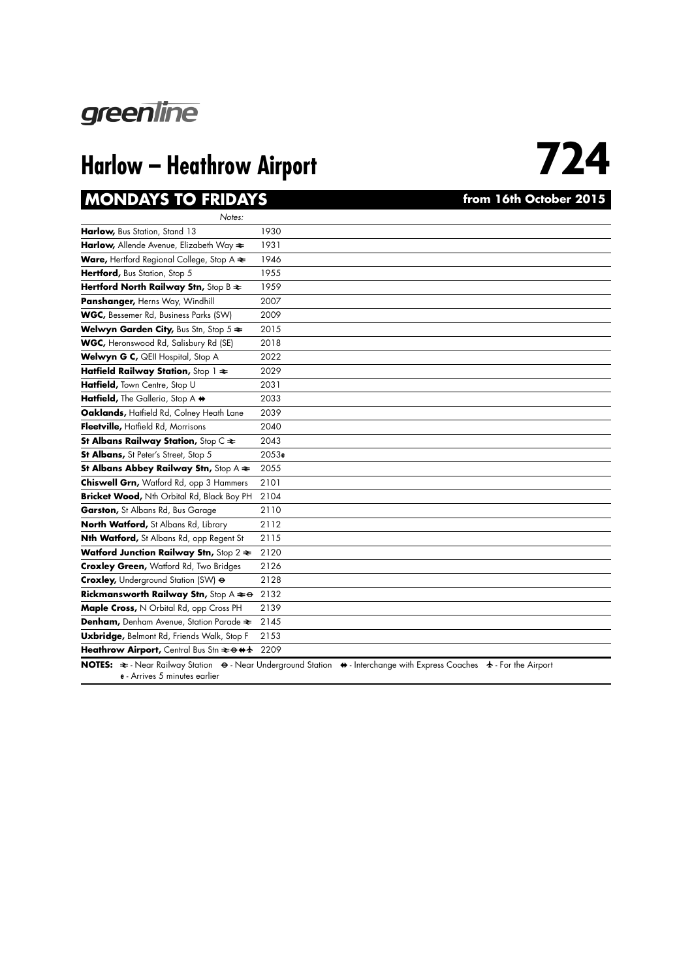

### **MONDAYS TO FRIDAYS** *CONDAYS PHONDAYS from 16th October 2015*

| Notes:                                                                                 |       |
|----------------------------------------------------------------------------------------|-------|
| Harlow, Bus Station, Stand 13                                                          | 1930  |
| Harlow, Allende Avenue, Elizabeth Way <del>≷</del>                                     | 1931  |
| <b>Ware, Hertford Regional College, Stop A <math>\approx</math></b>                    | 1946  |
| Hertford, Bus Station, Stop 5                                                          | 1955  |
| Hertford North Railway Stn, Stop B $\approx$                                           | 1959  |
| Panshanger, Herns Way, Windhill                                                        | 2007  |
| WGC, Bessemer Rd, Business Parks (SW)                                                  | 2009  |
| Welwyn Garden City, Bus Stn, Stop 5 $\Leftarrow$                                       | 2015  |
| WGC, Heronswood Rd, Salisbury Rd (SE)                                                  | 2018  |
| Welwyn G C, QEII Hospital, Stop A                                                      | 2022  |
| Hatfield Railway Station, Stop 1 $\approx$                                             | 2029  |
| Hatfield, Town Centre, Stop U                                                          | 2031  |
| Hatfield, The Galleria, Stop A +                                                       | 2033  |
| Oaklands, Hatfield Rd, Colney Heath Lane                                               | 2039  |
| Fleetville, Hatfield Rd, Morrisons                                                     | 2040  |
| St Albans Railway Station, Stop C $\approx$                                            | 2043  |
| St Albans, St Peter's Street, Stop 5                                                   | 2053e |
| St Albans Abbey Railway Stn, Stop A $\Leftarrow$                                       | 2055  |
| Chiswell Grn, Watford Rd, opp 3 Hammers                                                | 2101  |
| Bricket Wood, Nth Orbital Rd, Black Boy PH                                             | 2104  |
| Garston, St Albans Rd, Bus Garage                                                      | 2110  |
| North Watford, St Albans Rd, Library                                                   | 2112  |
| Nth Watford, St Albans Rd, opp Regent St                                               | 2115  |
| Watford Junction Railway Stn, Stop 2 $\Leftarrow$                                      | 2120  |
| <b>Croxley Green, Watford Rd, Two Bridges</b>                                          | 2126  |
| Croxley, Underground Station (SW) &                                                    | 2128  |
| Rickmansworth Railway Stn, Stop A $\textbf{a}$ $\leftrightarrow$                       | 2132  |
| Maple Cross, N Orbital Rd, opp Cross PH                                                | 2139  |
| Denham, Denham Avenue, Station Parade $\Leftarrow$                                     | 2145  |
| Uxbridge, Belmont Rd, Friends Walk, Stop F                                             | 2153  |
| Heathrow Airport, Central Bus Stn $\rightleftharpoons \leftrightarrow \leftrightarrow$ | 2209  |

**NOTES:**  $\Rightarrow$  - Near Railway Station  $\leftrightarrow$  - Near Underground Station  $\leftrightarrow$  - Interchange with Express Coaches  $\leftrightarrow$  - For the Airport **e** - Arrives 5 minutes earlier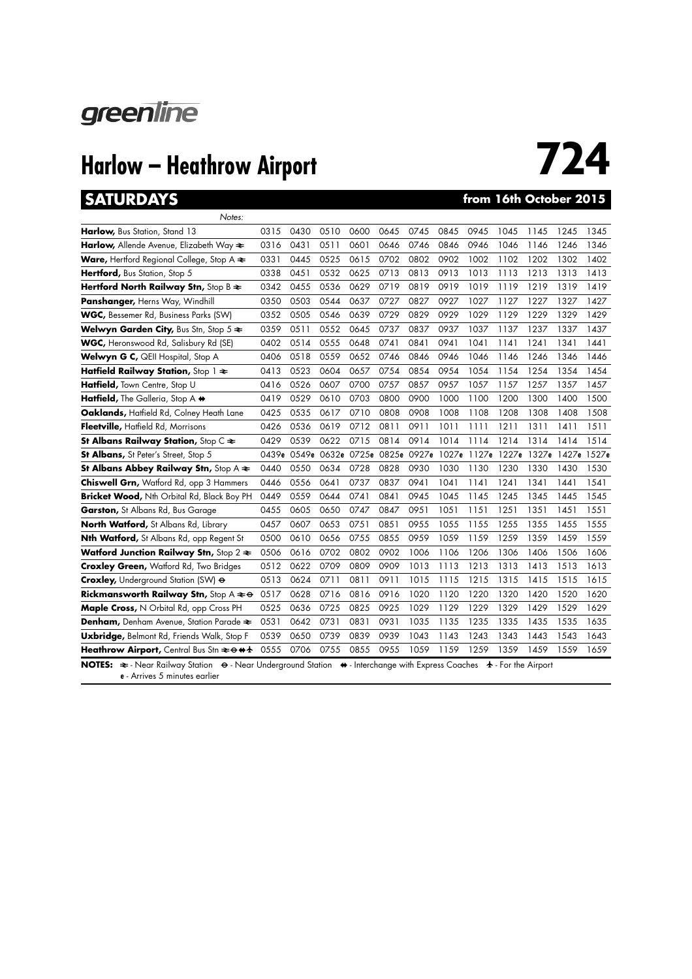

### **SATURDAYS from 16th October 2015**

| Notes:                                                              |             |      |                         |      |      |      |       |      |      |      |                               |      |
|---------------------------------------------------------------------|-------------|------|-------------------------|------|------|------|-------|------|------|------|-------------------------------|------|
| Harlow, Bus Station, Stand 13                                       | 0315        | 0430 | 0510                    | 0600 | 0645 | 0745 | 0845  | 0945 | 1045 | 1145 | 1245                          | 1345 |
| <b>Harlow,</b> Allende Avenue, Elizabeth Way $\approx$              | 0316        | 0431 | 0511                    | 0601 | 0646 | 0746 | 0846  | 0946 | 1046 | 1146 | 1246                          | 1346 |
| <b>Ware, Hertford Regional College, Stop A <math>\approx</math></b> | 0331        | 0445 | 0525                    | 0615 | 0702 | 0802 | 0902  | 1002 | 1102 | 1202 | 1302                          | 1402 |
| Hertford, Bus Station, Stop 5                                       | 0338        | 0451 | 0532                    | 0625 | 0713 | 0813 | 0913  | 1013 | 1113 | 1213 | 1313                          | 1413 |
| Hertford North Railway Stn, Stop B $\approx$                        | 0342        | 0455 | 0536                    | 0629 | 0719 | 0819 | 0919  | 1019 | 1119 | 1219 | 1319                          | 1419 |
| Panshanger, Herns Way, Windhill                                     | 0350        | 0503 | 0544                    | 0637 | 0727 | 0827 | 0927  | 1027 | 1127 | 1227 | 1327                          | 1427 |
| <b>WGC, Bessemer Rd, Business Parks (SW)</b>                        | 0352        | 0505 | 0546                    | 0639 | 0729 | 0829 | 0929  | 1029 | 1129 | 1229 | 1329                          | 1429 |
| <b>Welwyn Garden City, Bus Stn, Stop 5 <math>\approx</math></b>     | 0359        | 0511 | 0552                    | 0645 | 0737 | 0837 | 0937  | 1037 | 1137 | 1237 | 1337                          | 1437 |
| <b>WGC, Heronswood Rd, Salisbury Rd (SE)</b>                        | 0402        | 0514 | 0555                    | 0648 | 0741 | 0841 | 0941  | 1041 | 1141 | 1241 | 1341                          | 1441 |
| Welwyn G C, QEII Hospital, Stop A                                   | 0406        | 0518 | 0559                    | 0652 | 0746 | 0846 | 0946  | 1046 | 1146 | 1246 | 1346                          | 1446 |
| Hatfield Railway Station, Stop $1 \approx$                          | 0413        | 0523 | 0604                    | 0657 | 0754 | 0854 | 0954  | 1054 | 1154 | 1254 | 1354                          | 1454 |
| Hatfield, Town Centre, Stop U                                       | 0416        | 0526 | 0607                    | 0700 | 0757 | 0857 | 0957  | 1057 | 1157 | 1257 | 1357                          | 1457 |
| Hatfield, The Galleria, Stop A $\leftrightarrow$                    | 0419        | 0529 | 0610                    | 0703 | 0800 | 0900 | 1000  | 1100 | 1200 | 1300 | 1400                          | 1500 |
| Oaklands, Hatfield Rd, Colney Heath Lane                            | 0425        | 0535 | 0617                    | 0710 | 0808 | 0908 | 1008  | 1108 | 1208 | 1308 | 1408                          | 1508 |
| Fleetville, Hatfield Rd, Morrisons                                  | 0426        | 0536 | 0619                    | 0712 | 0811 | 0911 | 1011  | 1111 | 1211 | 1311 | 1411                          | 1511 |
| St Albans Railway Station, Stop C $\approx$                         | 0429        | 0539 | 0622                    | 0715 | 0814 | 0914 | 1014  | 1114 | 1214 | 1314 | 1414                          | 1514 |
|                                                                     |             |      |                         |      |      |      |       |      |      |      |                               |      |
| St Albans, St Peter's Street, Stop 5                                | 0439e 0549e |      | 0632e 0725e 0825e 0927e |      |      |      | 1027e |      |      |      | 1127e 1227e 1327e 1427e 1527e |      |
| St Albans Abbey Railway Stn, Stop A $\approx$                       | 0440        | 0550 | 0634                    | 0728 | 0828 | 0930 | 1030  | 1130 | 1230 | 1330 | 1430                          | 1530 |
| Chiswell Grn, Watford Rd, opp 3 Hammers                             | 0446        | 0556 | 0641                    | 0737 | 0837 | 0941 | 1041  | 1141 | 1241 | 1341 | 1441                          | 1541 |
| <b>Bricket Wood, Nth Orbital Rd, Black Boy PH</b>                   | 0449        | 0559 | 0644                    | 0741 | 0841 | 0945 | 1045  | 1145 | 1245 | 1345 | 1445                          | 1545 |
| <b>Garston, St Albans Rd, Bus Garage</b>                            | 0455        | 0605 | 0650                    | 0747 | 0847 | 0951 | 1051  | 1151 | 1251 | 1351 | 1451                          | 1551 |
| North Watford, St Albans Rd, Library                                | 0457        | 0607 | 0653                    | 0751 | 0851 | 0955 | 1055  | 1155 | 1255 | 1355 | 1455                          | 1555 |
| <b>Nth Watford,</b> St Albans Rd, opp Regent St                     | 0500        | 0610 | 0656                    | 0755 | 0855 | 0959 | 1059  | 1159 | 1259 | 1359 | 1459                          | 1559 |
| <b>Watford Junction Railway Stn, Stop 2 <math>\approx</math></b>    | 0506        | 0616 | 0702                    | 0802 | 0902 | 1006 | 1106  | 1206 | 1306 | 1406 | 1506                          | 1606 |
| <b>Croxley Green, Watford Rd, Two Bridges</b>                       | 0512        | 0622 | 0709                    | 0809 | 0909 | 1013 | 1113  | 1213 | 1313 | 1413 | 1513                          | 1613 |
| Croxley, Underground Station (SW) $\Theta$                          | 0513        | 0624 | 0711                    | 0811 | 0911 | 1015 | 1115  | 1215 | 1315 | 1415 | 1515                          | 1615 |
| <b>Rickmansworth Railway Stn, Stop A <math>\neq \Theta</math></b>   | 0517        | 0628 | 0716                    | 0816 | 0916 | 1020 | 1120  | 1220 | 1320 | 1420 | 1520                          | 1620 |
| Maple Cross, N Orbital Rd, opp Cross PH                             | 0525        | 0636 | 0725                    | 0825 | 0925 | 1029 | 1129  | 1229 | 1329 | 1429 | 1529                          | 1629 |
| Denham, Denham Avenue, Station Parade $\approx$                     | 0531        | 0642 | 0731                    | 0831 | 0931 | 1035 | 1135  | 1235 | 1335 | 1435 | 1535                          | 1635 |
| <b>Uxbridge, Belmont Rd, Friends Walk, Stop F</b>                   | 0539        | 0650 | 0739                    | 0839 | 0939 | 1043 | 1143  | 1243 | 1343 | 1443 | 1543                          | 1643 |
| Heathrow Airport, Central Bus Stn $\approx$ 0 + 1                   | 0555        | 0706 | 0755                    | 0855 | 0955 | 1059 | 1159  | 1259 | 1359 | 1459 | 1559                          | 1659 |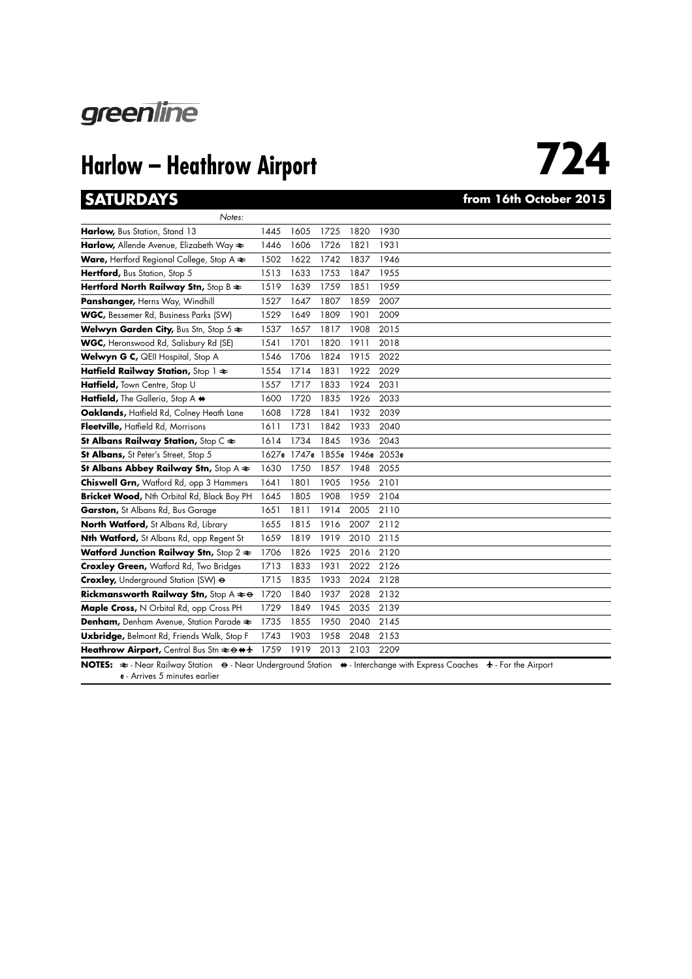

# **724**

### **SATURDAYS from 16th October 2015**

| Notes:                                                                                 |      |                               |      |      |      |
|----------------------------------------------------------------------------------------|------|-------------------------------|------|------|------|
| Harlow, Bus Station, Stand 13                                                          | 1445 | 1605                          | 1725 | 1820 | 1930 |
| Harlow, Allende Avenue, Elizabeth Way $\approx$                                        | 1446 | 1606                          | 1726 | 1821 | 1931 |
| Ware, Hertford Regional College, Stop A $\Leftarrow$                                   | 1502 | 1622                          | 1742 | 1837 | 1946 |
| Hertford, Bus Station, Stop 5                                                          | 1513 | 1633                          | 1753 | 1847 | 1955 |
| Hertford North Railway Stn, Stop B $\Leftarrow$                                        | 1519 | 1639                          | 1759 | 1851 | 1959 |
| Panshanger, Herns Way, Windhill                                                        | 1527 | 1647                          | 1807 | 1859 | 2007 |
| WGC, Bessemer Rd, Business Parks (SW)                                                  | 1529 | 1649                          | 1809 | 1901 | 2009 |
| Welwyn Garden City, Bus Stn, Stop 5 $\approx$                                          | 1537 | 1657                          | 1817 | 1908 | 2015 |
| WGC, Heronswood Rd, Salisbury Rd (SE)                                                  | 1541 | 1701                          | 1820 | 1911 | 2018 |
| Welwyn G C, QEII Hospital, Stop A                                                      | 1546 | 1706                          | 1824 | 1915 | 2022 |
| Hatfield Railway Station, Stop 1 $\approx$                                             | 1554 | 1714                          | 1831 | 1922 | 2029 |
| Hatfield, Town Centre, Stop U                                                          | 1557 | 1717                          | 1833 | 1924 | 2031 |
| Hatfield, The Galleria, Stop A +                                                       | 1600 | 1720                          | 1835 | 1926 | 2033 |
| Oaklands, Hatfield Rd, Colney Heath Lane                                               | 1608 | 1728                          | 1841 | 1932 | 2039 |
| Fleetville, Hatfield Rd, Morrisons                                                     | 1611 | 1731                          | 1842 | 1933 | 2040 |
| St Albans Railway Station, Stop $C \rightleftarrows$                                   | 1614 | 1734                          | 1845 | 1936 | 2043 |
| St Albans, St Peter's Street, Stop 5                                                   |      | 1627e 1747e 1855e 1946e 2053e |      |      |      |
| St Albans Abbey Railway Stn, Stop A $\Leftarrow$                                       | 1630 | 1750                          | 1857 | 1948 | 2055 |
| Chiswell Grn, Watford Rd, opp 3 Hammers                                                | 1641 | 1801                          | 1905 | 1956 | 2101 |
| Bricket Wood, Nth Orbital Rd, Black Boy PH                                             | 1645 | 1805                          | 1908 | 1959 | 2104 |
| Garston, St Albans Rd, Bus Garage                                                      | 1651 | 1811                          | 1914 | 2005 | 2110 |
| North Watford, St Albans Rd, Library                                                   | 1655 | 1815                          | 1916 | 2007 | 2112 |
| Nth Watford, St Albans Rd, opp Regent St                                               | 1659 | 1819                          | 1919 | 2010 | 2115 |
| Watford Junction Railway Stn, Stop 2 $\Leftarrow$                                      | 1706 | 1826                          | 1925 | 2016 | 2120 |
| <b>Croxley Green, Watford Rd, Two Bridges</b>                                          | 1713 | 1833                          | 1931 | 2022 | 2126 |
| Croxley, Underground Station (SW) $\Theta$                                             | 1715 | 1835                          | 1933 | 2024 | 2128 |
| Rickmansworth Railway Stn, Stop A $\Leftarrow \Theta$                                  | 1720 | 1840                          | 1937 | 2028 | 2132 |
| Maple Cross, N Orbital Rd, opp Cross PH                                                | 1729 | 1849                          | 1945 | 2035 | 2139 |
| Denham, Denham Avenue, Station Parade $\Leftarrow$                                     | 1735 | 1855                          | 1950 | 2040 | 2145 |
|                                                                                        |      |                               |      |      |      |
| Uxbridge, Belmont Rd, Friends Walk, Stop F                                             | 1743 | 1903                          | 1958 | 2048 | 2153 |
| Heathrow Airport, Central Bus Stn $\rightleftharpoons \leftrightarrow \leftrightarrow$ | 1759 | 1919                          | 2013 | 2103 | 2209 |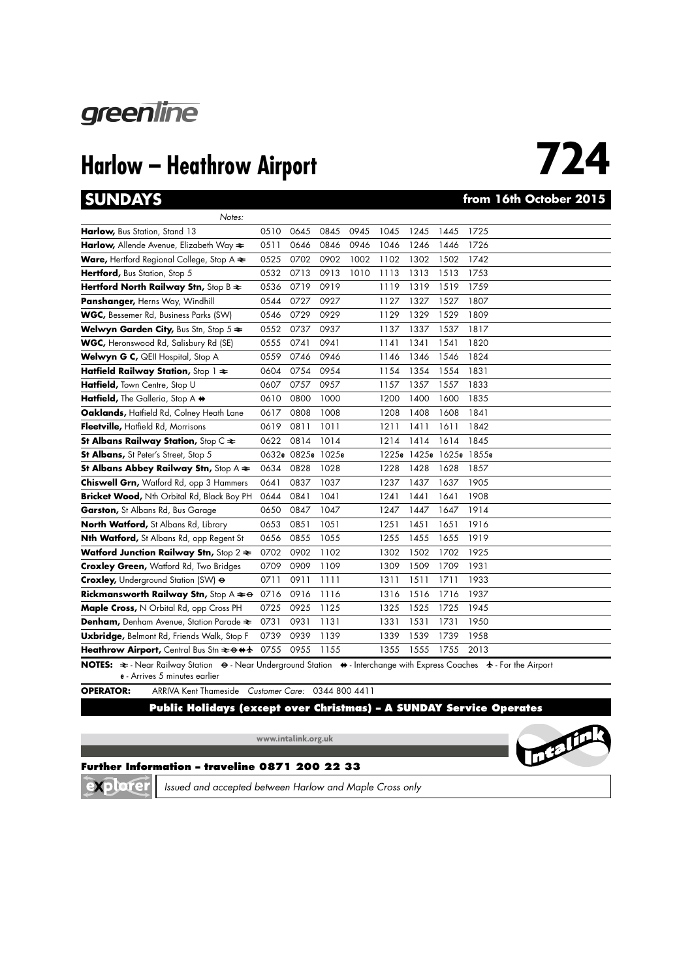

**724**

### **SUNDAYS from 16th October 2015**

| Notes:                                                                                                                |      |                   |      |      |      |                   |      |       |
|-----------------------------------------------------------------------------------------------------------------------|------|-------------------|------|------|------|-------------------|------|-------|
| Harlow, Bus Station, Stand 13                                                                                         | 0510 | 0645              | 0845 | 0945 | 1045 | 1245              | 1445 | 1725  |
| Harlow, Allende Avenue, Elizabeth Way $\approx$                                                                       | 0511 | 0646              | 0846 | 0946 | 1046 | 1246              | 1446 | 1726  |
| Ware, Hertford Regional College, Stop A $\Leftarrow$                                                                  | 0525 | 0702              | 0902 | 1002 | 1102 | 1302              | 1502 | 1742  |
| Hertford, Bus Station, Stop 5                                                                                         | 0532 | 0713              | 0913 | 1010 | 1113 | 1313              | 1513 | 1753  |
| Hertford North Railway Stn, Stop B $\approx$                                                                          | 0536 | 0719              | 0919 |      | 1119 | 1319              | 1519 | 1759  |
| Panshanger, Herns Way, Windhill                                                                                       | 0544 | 0727              | 0927 |      | 1127 | 1327              | 1527 | 1807  |
| WGC, Bessemer Rd, Business Parks (SW)                                                                                 | 0546 | 0729              | 0929 |      | 1129 | 1329              | 1529 | 1809  |
| Welwyn Garden City, Bus Stn, Stop $5 \approx$                                                                         | 0552 | 0737              | 0937 |      | 1137 | 1337              | 1537 | 1817  |
| WGC, Heronswood Rd, Salisbury Rd (SE)                                                                                 | 0555 | 0741              | 0941 |      | 1141 | 1341              | 1541 | 1820  |
| Welwyn G C, QEII Hospital, Stop A                                                                                     | 0559 | 0746              | 0946 |      | 1146 | 1346              | 1546 | 1824  |
| Hatfield Railway Station, Stop $1 \approx$                                                                            | 0604 | 0754              | 0954 |      | 1154 | 1354              | 1554 | 1831  |
| Hatfield, Town Centre, Stop U                                                                                         | 0607 | 0757              | 0957 |      | 1157 | 1357              | 1557 | 1833  |
| Hatfield, The Galleria, Stop A +                                                                                      | 0610 | 0800              | 1000 |      | 1200 | 1400              | 1600 | 1835  |
| Oaklands, Haffield Rd, Colney Heath Lane                                                                              | 0617 | 0808              | 1008 |      | 1208 | 1408              | 1608 | 1841  |
| Fleetville, Hatfield Rd, Morrisons                                                                                    | 0619 | 0811              | 1011 |      | 1211 | 1411              | 1611 | 1842  |
| St Albans Railway Station, Stop $C \rightleftarrows$                                                                  | 0622 | 0814              | 1014 |      | 1214 | 1414              | 1614 | 1845  |
| St Albans, St Peter's Street, Stop 5                                                                                  |      | 0632e 0825e 1025e |      |      |      | 1225e 1425e 1625e |      | 1855e |
| St Albans Abbey Railway Stn, Stop A $\Leftarrow$                                                                      | 0634 | 0828              | 1028 |      | 1228 | 1428              | 1628 | 1857  |
| Chiswell Grn, Watford Rd, opp 3 Hammers                                                                               | 0641 | 0837              | 1037 |      | 1237 | 1437              | 1637 | 1905  |
| Bricket Wood, Nth Orbital Rd, Black Boy PH                                                                            | 0644 | 0841              | 1041 |      | 1241 | 1441              | 1641 | 1908  |
| Garston, St Albans Rd, Bus Garage                                                                                     | 0650 | 0847              | 1047 |      | 1247 | 1447              | 1647 | 1914  |
| North Watford, St Albans Rd, Library                                                                                  | 0653 | 0851              | 1051 |      | 1251 | 1451              | 1651 | 1916  |
| <b>Nth Watford,</b> St Albans Rd, opp Regent St                                                                       | 0656 | 0855              | 1055 |      | 1255 | 1455              | 1655 | 1919  |
| Watford Junction Railway Stn, Stop $2 \geq$                                                                           | 0702 | 0902              | 1102 |      | 1302 | 1502              | 1702 | 1925  |
| <b>Croxley Green, Watford Rd, Two Bridges</b>                                                                         | 0709 | 0909              | 1109 |      | 1309 | 1509              | 1709 | 1931  |
| Croxley, Underground Station (SW) &                                                                                   | 0711 | 0911              | 1111 |      | 1311 | 1511              | 1711 | 1933  |
| <b>Rickmansworth Railway Stn, Stop A <math>\neq \Theta</math></b>                                                     | 0716 | 0916              | 1116 |      | 1316 | 1516              | 1716 | 1937  |
| Maple Cross, N Orbital Rd, opp Cross PH                                                                               | 0725 | 0925              | 1125 |      | 1325 | 1525              | 1725 | 1945  |
| Denham, Denham Avenue, Station Parade $\Leftarrow$                                                                    | 0731 | 0931              | 1131 |      | 1331 | 1531              | 1731 | 1950  |
| Uxbridge, Belmont Rd, Friends Walk, Stop F                                                                            | 0739 | 0939              | 1139 |      | 1339 | 1539              | 1739 | 1958  |
| Heathrow Airport, Central Bus Stn $\Rightarrow$ 0 + 1                                                                 | 0755 | 0955              | 1155 |      | 1355 | 1555              | 1755 | 2013  |
| NOTES: ₹ - Near Railway Station ⊖ - Near Underground Station ♦ - Interchange with Express Coaches ↑ - For the Airport |      |                   |      |      |      |                   |      |       |

**e** - Arrives 5 minutes earlier

**OPERATOR:** ARRIVA Kent Thameside *Customer Care:* 0344 800 4411

### **Public Holidays (except over Christmas) – A SUNDAY Service Operates**

**www.intalink.org.uk**



**Further Information – traveline 0871 200 22 33**

XD tore *Issued and accepted between Harlow and Maple Cross only*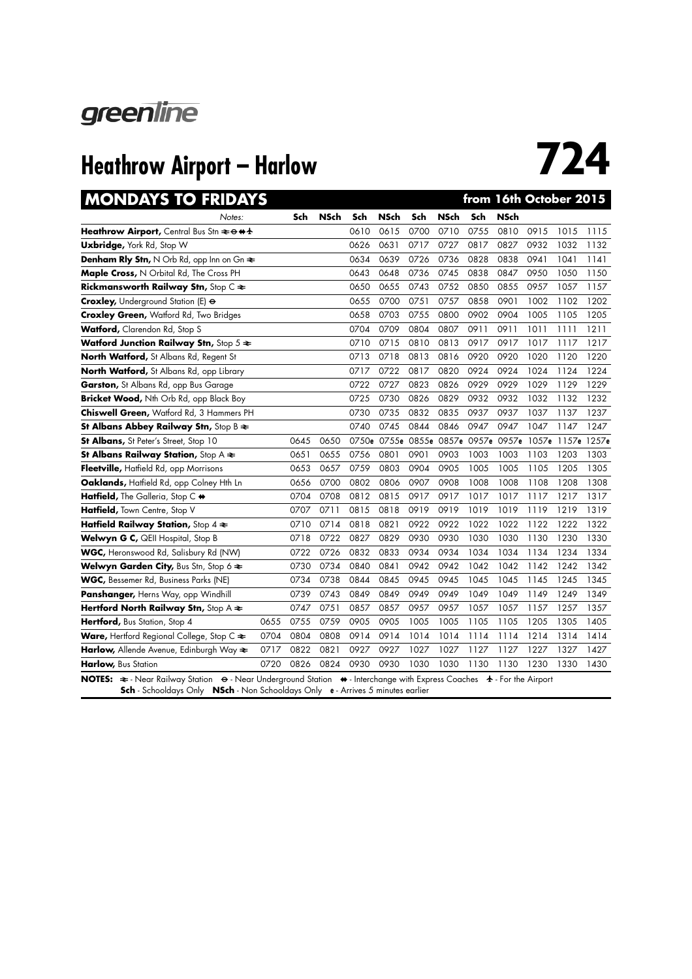

| <b>MONDAYS TO FRIDAYS</b>                                           |      |      |             |      |             |      |             | from 16th October 2015        |             |      |                         |      |
|---------------------------------------------------------------------|------|------|-------------|------|-------------|------|-------------|-------------------------------|-------------|------|-------------------------|------|
| Notes:                                                              |      | Sch  | <b>NSch</b> | Sch  | <b>NSch</b> | Sch  | <b>NSch</b> | Sch                           | <b>NSch</b> |      |                         |      |
| Heathrow Airport, Central Bus Stn $\geq \theta$ + $\pm$             |      |      |             | 0610 | 0615        | 0700 | 0710        | 0755                          | 0810        | 0915 | 1015                    | 1115 |
| Uxbridge, York Rd, Stop W                                           |      |      |             | 0626 | 0631        | 0717 | 0727        | 0817                          | 0827        | 0932 | 1032                    | 1132 |
| <b>Denham Rly Stn, N</b> Orb Rd, opp Inn on Gn $\approx$            |      |      |             | 0634 | 0639        | 0726 | 0736        | 0828                          | 0838        | 0941 | 1041                    | 1141 |
| Maple Cross, N Orbital Rd, The Cross PH                             |      |      |             | 0643 | 0648        | 0736 | 0745        | 0838                          | 0847        | 0950 | 1050                    | 1150 |
| Rickmansworth Railway Stn, Stop C $\Leftarrow$                      |      |      |             | 0650 | 0655        | 0743 | 0752        | 0850                          | 0855        | 0957 | 1057                    | 1157 |
| Croxley, Underground Station (E) $\Theta$                           |      |      |             | 0655 | 0700        | 0751 | 0757        | 0858                          | 0901        | 1002 | 1102                    | 1202 |
| <b>Croxley Green, Watford Rd, Two Bridges</b>                       |      |      |             | 0658 | 0703        | 0755 | 0800        | 0902                          | 0904        | 1005 | 1105                    | 1205 |
| Watford, Clarendon Rd, Stop S                                       |      |      |             | 0704 | 0709        | 0804 | 0807        | 0911                          | 0911        | 1011 | 1111                    | 1211 |
| Watford Junction Railway Stn, Stop $5 \approx$                      |      |      |             | 0710 | 0715        | 0810 | 0813        | 0917                          | 0917        | 1017 | 1117                    | 1217 |
| North Watford, St Albans Rd, Regent St                              |      |      |             | 0713 | 0718        | 0813 | 0816        | 0920                          | 0920        | 1020 | 1120                    | 1220 |
| North Watford, St Albans Rd, opp Library                            |      |      |             | 0717 | 0722        | 0817 | 0820        | 0924                          | 0924        | 1024 | 1124                    | 1224 |
| Garston, St Albans Rd, opp Bus Garage                               |      |      |             | 0722 | 0727        | 0823 | 0826        | 0929                          | 0929        | 1029 | 1129                    | 1229 |
| Bricket Wood, Nth Orb Rd, opp Black Boy                             |      |      |             | 0725 | 0730        | 0826 | 0829        | 0932                          | 0932        | 1032 | 1132                    | 1232 |
| Chiswell Green, Watford Rd, 3 Hammers PH                            |      |      |             | 0730 | 0735        | 0832 | 0835        | 0937                          | 0937        | 1037 | 1137                    | 1237 |
| St Albans Abbey Railway Stn, Stop B $\Leftarrow$                    |      |      |             | 0740 | 0745        | 0844 | 0846        | 0947                          | 0947        | 1047 | 1147                    | 1247 |
| St Albans, St Peter's Street, Stop 10                               |      | 0645 | 0650        |      |             |      |             | 0750e 0755e 0855e 0857e 0957e |             |      | 0957e 1057e 1157e 1257e |      |
| St Albans Railway Station, Stop $A \rightleftarrows$                |      | 0651 | 0655        | 0756 | 0801        | 0901 | 0903        | 1003                          | 1003        | 1103 | 1203                    | 1303 |
| Fleetville, Hatfield Rd, opp Morrisons                              |      | 0653 | 0657        | 0759 | 0803        | 0904 | 0905        | 1005                          | 1005        | 1105 | 1205                    | 1305 |
| Oaklands, Hatfield Rd, opp Colney Hth Ln                            |      | 0656 | 0700        | 0802 | 0806        | 0907 | 0908        | 1008                          | 1008        | 1108 | 1208                    | 1308 |
| Hatfield, The Galleria, Stop C +                                    |      | 0704 | 0708        | 0812 | 0815        | 0917 | 0917        | 1017                          | 1017        | 1117 | 1217                    | 1317 |
| Hatfield, Town Centre, Stop V                                       |      | 0707 | 0711        | 0815 | 0818        | 0919 | 0919        | 1019                          | 1019        | 1119 | 1219                    | 1319 |
| Hatfield Railway Station, Stop $4 \geq$                             |      | 0710 | 0714        | 0818 | 0821        | 0922 | 0922        | 1022                          | 1022        | 1122 | 1222                    | 1322 |
| Welwyn G C, QEII Hospital, Stop B                                   |      | 0718 | 0722        | 0827 | 0829        | 0930 | 0930        | 1030                          | 1030        | 1130 | 1230                    | 1330 |
| WGC, Heronswood Rd, Salisbury Rd (NW)                               |      | 0722 | 0726        | 0832 | 0833        | 0934 | 0934        | 1034                          | 1034        | 1134 | 1234                    | 1334 |
| Welwyn Garden City, Bus Stn, Stop 6 $\approx$                       |      | 0730 | 0734        | 0840 | 0841        | 0942 | 0942        | 1042                          | 1042        | 1142 | 1242                    | 1342 |
| WGC, Bessemer Rd, Business Parks (NE)                               |      | 0734 | 0738        | 0844 | 0845        | 0945 | 0945        | 1045                          | 1045        | 1145 | 1245                    | 1345 |
| Panshanger, Herns Way, opp Windhill                                 |      | 0739 | 0743        | 0849 | 0849        | 0949 | 0949        | 1049                          | 1049        | 1149 | 1249                    | 1349 |
| Hertford North Railway Stn, Stop A $\approx$                        |      | 0747 | 0751        | 0857 | 0857        | 0957 | 0957        | 1057                          | 1057        | 1157 | 1257                    | 1357 |
| Hertford, Bus Station, Stop 4                                       | 0655 | 0755 | 0759        | 0905 | 0905        | 1005 | 1005        | 1105                          | 1105        | 1205 | 1305                    | 1405 |
| <b>Ware, Hertford Regional College, Stop C <math>\approx</math></b> | 0704 | 0804 | 0808        | 0914 | 0914        | 1014 | 1014        | 1114                          | 1114        | 1214 | 1314                    | 1414 |
| Harlow, Allende Avenue, Edinburgh Way $\Leftarrow$                  | 0717 | 0822 | 0821        | 0927 | 0927        | 1027 | 1027        | 1127                          | 1127        | 1227 | 1327                    | 1427 |
| Harlow, Bus Station                                                 | 0720 | 0826 | 0824        | 0930 | 0930        | 1030 | 1030        | 1130                          | 1130        | 1230 | 1330                    | 1430 |
|                                                                     |      |      |             |      |             |      |             |                               |             |      |                         |      |

**NOTES:**  $\Rightarrow$  - Near Railway Station  $\Rightarrow$  - Near Underground Station  $\Rightarrow$  - Interchange with Express Coaches  $\leftrightarrow$  - For the Airport **Sch** - Schooldays Only **NSch** - Non Schooldays Only **e** - Arrives 5 minutes earlier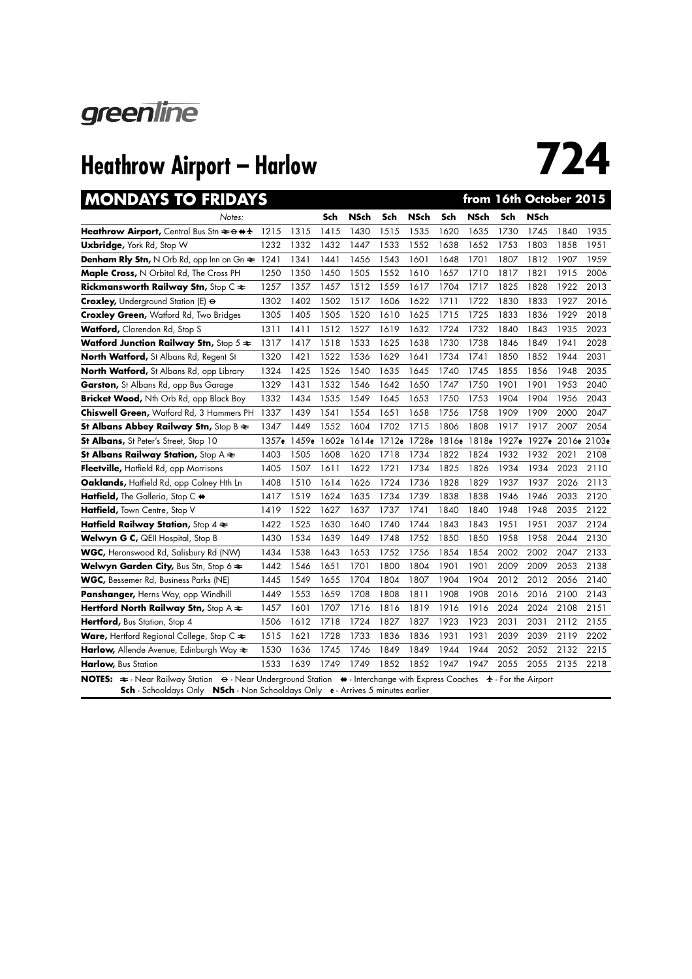

| <b>MONDAYS TO FRIDAYS</b>                                           |       |       |       |             |      |                   |       | from 16th October 2015 |       |             |                   |      |
|---------------------------------------------------------------------|-------|-------|-------|-------------|------|-------------------|-------|------------------------|-------|-------------|-------------------|------|
| Notes:                                                              |       |       | Sch   | <b>NSch</b> | Sch  | <b>NSch</b>       | Sch   | <b>NSch</b>            | Sch   | <b>NSch</b> |                   |      |
| Heathrow Airport, Central Bus Stn $\geq \theta$ <sup>++</sup>       | 1215  | 1315  | 1415  | 1430        | 1515 | 1535              | 1620  | 1635                   | 1730  | 1745        | 1840              | 1935 |
| <b>Uxbridge, York Rd, Stop W</b>                                    | 1232  | 1332  | 1432  | 1447        | 1533 | 1552              | 1638  | 1652                   | 1753  | 1803        | 1858              | 1951 |
| <b>Denham Rly Stn, N</b> Orb Rd, opp Inn on $G_n \approx 1241$      |       | 1341  | 1441  | 1456        | 1543 | 1601              | 1648  | 1701                   | 1807  | 1812        | 1907              | 1959 |
| Maple Cross, N Orbital Rd, The Cross PH                             | 1250  | 1350  | 1450  | 1505        | 1552 | 1610              | 1657  | 1710                   | 1817  | 1821        | 1915              | 2006 |
| Rickmansworth Railway Stn, Stop C $\Leftarrow$                      | 1257  | 1357  | 1457  | 1512        | 1559 | 1617              | 1704  | 1717                   | 1825  | 1828        | 1922              | 2013 |
| Croxley, Underground Station (E) $\Theta$                           | 1302  | 1402  | 1502  | 1517        | 1606 | 1622              | 1711  | 1722                   | 1830  | 1833        | 1927              | 2016 |
| <b>Croxley Green, Watford Rd, Two Bridges</b>                       | 1305  | 1405  | 1505  | 1520        | 1610 | 1625              | 1715  | 1725                   | 1833  | 1836        | 1929              | 2018 |
| Watford, Clarendon Rd, Stop S                                       | 1311  | 1411  | 1512  | 1527        | 1619 | 1632              | 1724  | 1732                   | 1840  | 1843        | 1935              | 2023 |
| Watford Junction Railway Stn, Stop $5 \approx$                      | 1317  | 1417  | 1518  | 1533        | 1625 | 1638              | 1730  | 1738                   | 1846  | 1849        | 1941              | 2028 |
| North Watford, St Albans Rd, Regent St                              | 1320  | 1421  | 1522  | 1536        | 1629 | 1641              | 1734  | 1741                   | 1850  | 1852        | 1944              | 2031 |
| North Watford, St Albans Rd, opp Library                            | 1324  | 1425  | 1526  | 1540        | 1635 | 1645              | 1740  | 1745                   | 1855  | 1856        | 1948              | 2035 |
| Garston, St Albans Rd, opp Bus Garage                               | 1329  | 1431  | 1532  | 1546        | 1642 | 1650              | 1747  | 1750                   | 1901  | 1901        | 1953              | 2040 |
| Bricket Wood, Nth Orb Rd, opp Black Boy                             | 1332  | 1434  | 1535  | 1549        | 1645 | 1653              | 1750  | 1753                   | 1904  | 1904        | 1956              | 2043 |
| Chiswell Green, Watford Rd, 3 Hammers PH                            | 1337  | 1439  | 1541  | 1554        | 1651 | 1658              | 1756  | 1758                   | 1909  | 1909        | 2000              | 2047 |
| St Albans Abbey Railway Stn, Stop B $\geq$                          | 1347  | 1449  | 1552  | 1604        | 1702 | 1715              | 1806  | 1808                   | 1917  | 1917        | 2007              | 2054 |
| St Albans, St Peter's Street, Stop 10                               | 1357e | 1459e | 1602e |             |      | 1614e 1712e 1728e | 1816e | 1818e                  | 1927e |             | 1927e 2016e 2103e |      |
| St Albans Railway Station, Stop $A \rightleftarrows$                | 1403  | 1505  | 1608  | 1620        | 1718 | 1734              | 1822  | 1824                   | 1932  | 1932        | 2021              | 2108 |
| Fleetville, Hatfield Rd, opp Morrisons                              | 1405  | 1507  | 1611  | 1622        | 1721 | 1734              | 1825  | 1826                   | 1934  | 1934        | 2023              | 2110 |
| Oaklands, Hatfield Rd, opp Colney Hth Ln                            | 1408  | 1510  | 1614  | 1626        | 1724 | 1736              | 1828  | 1829                   | 1937  | 1937        | 2026              | 2113 |
| Hatfield, The Galleria, Stop C +                                    | 1417  | 1519  | 1624  | 1635        | 1734 | 1739              | 1838  | 1838                   | 1946  | 1946        | 2033              | 2120 |
| Hatfield, Town Centre, Stop V                                       | 1419  | 1522  | 1627  | 1637        | 1737 | 1741              | 1840  | 1840                   | 1948  | 1948        | 2035              | 2122 |
| Hatfield Railway Station, Stop $4 \geq$                             | 1422  | 1525  | 1630  | 1640        | 1740 | 1744              | 1843  | 1843                   | 1951  | 1951        | 2037              | 2124 |
| Welwyn G C, QEII Hospital, Stop B                                   | 1430  | 1534  | 1639  | 1649        | 1748 | 1752              | 1850  | 1850                   | 1958  | 1958        | 2044              | 2130 |
| WGC, Heronswood Rd, Salisbury Rd (NW)                               | 1434  | 1538  | 1643  | 1653        | 1752 | 1756              | 1854  | 1854                   | 2002  | 2002        | 2047              | 2133 |
| Welwyn Garden City, Bus Stn, Stop 6 $\Leftarrow$                    | 1442  | 1546  | 1651  | 1701        | 1800 | 1804              | 1901  | 1901                   | 2009  | 2009        | 2053              | 2138 |
| <b>WGC, Bessemer Rd, Business Parks (NE)</b>                        | 1445  | 1549  | 1655  | 1704        | 1804 | 1807              | 1904  | 1904                   | 2012  | 2012        | 2056              | 2140 |
| Panshanger, Herns Way, opp Windhill                                 | 1449  | 1553  | 1659  | 1708        | 1808 | 1811              | 1908  | 1908                   | 2016  | 2016        | 2100              | 2143 |
| Hertford North Railway Stn, Stop A $\approx$                        | 1457  | 1601  | 1707  | 1716        | 1816 | 1819              | 1916  | 1916                   | 2024  | 2024        | 2108              | 2151 |
| Hertford, Bus Station, Stop 4                                       | 1506  | 1612  | 1718  | 1724        | 1827 | 1827              | 1923  | 1923                   | 2031  | 2031        | 2112              | 2155 |
| <b>Ware, Hertford Regional College, Stop C <math>\approx</math></b> | 1515  | 1621  | 1728  | 1733        | 1836 | 1836              | 1931  | 1931                   | 2039  | 2039        | 2119              | 2202 |
| Harlow, Allende Avenue, Edinburgh Way $\Leftarrow$                  | 1530  | 1636  | 1745  | 1746        | 1849 | 1849              | 1944  | 1944                   | 2052  | 2052        | 2132              | 2215 |
| Harlow, Bus Station                                                 | 1533  | 1639  | 1749  | 1749        | 1852 | 1852              | 1947  | 1947                   | 2055  | 2055        | 2135              | 2218 |
|                                                                     |       |       |       |             |      |                   |       |                        |       |             |                   |      |

**NOTES:**  $\Rightarrow$  - Near Railway Station  $\Rightarrow$  - Near Underground Station  $\Rightarrow$  - Interchange with Express Coaches  $\leftrightarrow$  - For the Airport **Sch** - Schooldays Only **NSch** - Non Schooldays Only **e** - Arrives 5 minutes earlier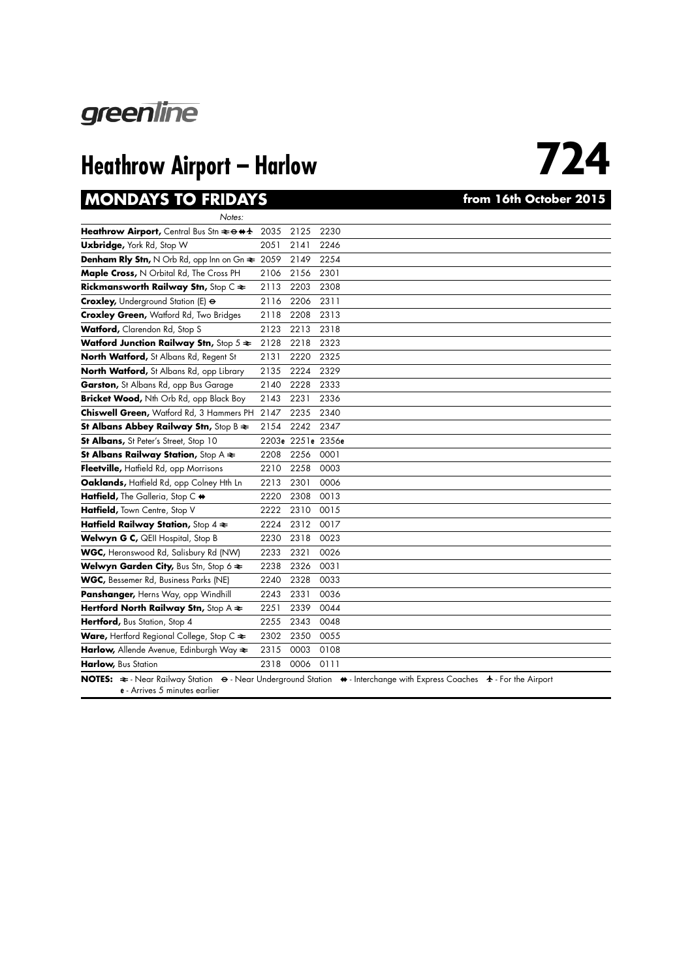

### **MONDAYS TO FRIDAYS** *CONDAYS from 16th October 2015*

| Notes:                                                                                   |      |                   |                                                                                |
|------------------------------------------------------------------------------------------|------|-------------------|--------------------------------------------------------------------------------|
| Heathrow Airport, Central Bus Stn $\rightleftarrows \leftrightarrow \leftrightarrow \pm$ | 2035 | 2125              | 2230                                                                           |
| Uxbridge, York Rd, Stop W                                                                | 2051 | 2141              | 2246                                                                           |
| <b>Denham Rly Stn, N</b> Orb Rd, opp Inn on Gn $\approx 2059$                            |      | 2149              | 2254                                                                           |
| Maple Cross, N Orbital Rd, The Cross PH                                                  | 2106 | 2156              | 2301                                                                           |
| Rickmansworth Railway Stn, Stop C $\Leftarrow$                                           | 2113 | 2203              | 2308                                                                           |
| Croxley, Underground Station (E) $\Theta$                                                | 2116 | 2206              | 2311                                                                           |
| <b>Croxley Green, Watford Rd, Two Bridges</b>                                            | 2118 | 2208              | 2313                                                                           |
| Watford, Clarendon Rd, Stop S                                                            | 2123 | 2213              | 2318                                                                           |
| Watford Junction Railway Stn, Stop $5 \approx$                                           | 2128 | 2218              | 2323                                                                           |
| North Watford, St Albans Rd, Regent St                                                   | 2131 | 2220              | 2325                                                                           |
| North Watford, St Albans Rd, opp Library                                                 | 2135 | 2224              | 2329                                                                           |
| Garston, St Albans Rd, opp Bus Garage                                                    | 2140 | 2228              | 2333                                                                           |
| Bricket Wood, Nth Orb Rd, opp Black Boy                                                  | 2143 | 2231              | 2336                                                                           |
| Chiswell Green, Watford Rd, 3 Hammers PH                                                 | 2147 | 2235              | 2340                                                                           |
| St Albans Abbey Railway Stn, Stop B $\approx$                                            | 2154 | 2242              | 2347                                                                           |
| St Albans, St Peter's Street, Stop 10                                                    |      | 2203e 2251e 2356e |                                                                                |
| St Albans Railway Station, Stop A $\approx$                                              | 2208 | 2256              | 0001                                                                           |
| Fleetville, Hatfield Rd, opp Morrisons                                                   | 2210 | 2258              | 0003                                                                           |
| Oaklands, Hatfield Rd, opp Colney Hth Ln                                                 | 2213 | 2301              | 0006                                                                           |
| Hatfield, The Galleria, Stop C +                                                         | 2220 | 2308              | 0013                                                                           |
| Hatfield, Town Centre, Stop V                                                            | 2222 | 2310              | 0015                                                                           |
| Hatfield Railway Station, Stop $4 \geq$                                                  | 2224 | 2312              | 0017                                                                           |
| Welwyn G C, QEII Hospital, Stop B                                                        | 2230 | 2318              | 0023                                                                           |
| WGC, Heronswood Rd, Salisbury Rd (NW)                                                    | 2233 | 2321              | 0026                                                                           |
| Welwyn Garden City, Bus Stn, Stop 6 $\Leftarrow$                                         | 2238 | 2326              | 0031                                                                           |
| WGC, Bessemer Rd, Business Parks (NE)                                                    | 2240 | 2328              | 0033                                                                           |
| Panshanger, Herns Way, opp Windhill                                                      | 2243 | 2331              | 0036                                                                           |
| Hertford North Railway Stn, Stop A $\Leftarrow$                                          | 2251 | 2339              | 0044                                                                           |
| Hertford, Bus Station, Stop 4                                                            | 2255 | 2343              | 0048                                                                           |
| Ware, Hertford Regional College, Stop C $\Leftarrow$                                     | 2302 | 2350              | 0055                                                                           |
| Harlow, Allende Avenue, Edinburgh Way $\Leftarrow$                                       | 2315 | 0003              | 0108                                                                           |
| Harlow, Bus Station                                                                      | 2318 | 0006              | 0111                                                                           |
| $D \cdot 1$ .<br>$C_1 \cup C_2$<br>IATEC.<br>h <sub>1</sub>                              | 11.1 | در دره از         | ALL EX<br>$\sqrt{2}$<br>$\blacksquare$<br>п.<br>n L<br>$\lambda$<br>. <b>.</b> |

**NOTES:**  $\cong$  - Near Railway Station  $\Theta$  - Near Underground Station  $\leftrightarrow$  - Interchange with Express Coaches  $\leftrightarrow$  - For the Airport **e** - Arrives 5 minutes earlier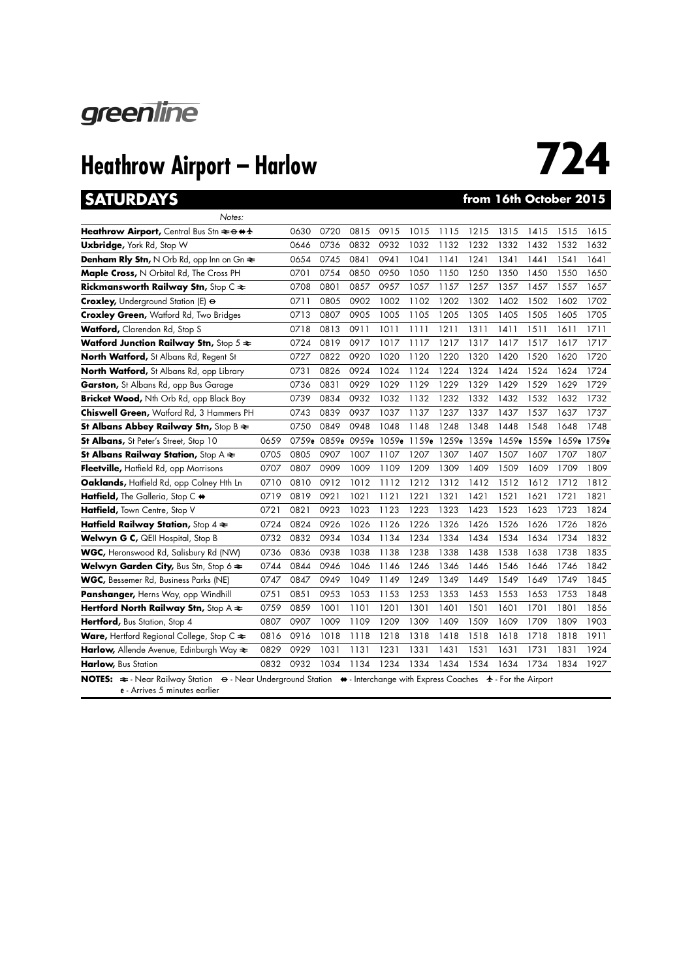

### **SATURDAYS from 16th October 2015**

| Notes:                                                                                                                                                                            |      |       |      |      |                         |      |       |       |       |       |             |      |
|-----------------------------------------------------------------------------------------------------------------------------------------------------------------------------------|------|-------|------|------|-------------------------|------|-------|-------|-------|-------|-------------|------|
| Heathrow Airport, Central Bus Stn $\approx$ $\leftrightarrow$ $\leftrightarrow$ $\star$                                                                                           |      | 0630  | 0720 | 0815 | 0915                    | 1015 | 1115  | 1215  | 1315  | 1415  | 1515        | 1615 |
| <b>Uxbridge, York Rd, Stop W</b>                                                                                                                                                  |      | 0646  | 0736 | 0832 | 0932                    | 1032 | 1132  | 1232  | 1332  | 1432  | 1532        | 1632 |
| <b>Denham Rly Stn, N</b> Orb Rd, opp Inn on $G_n \rightleftharpoons$                                                                                                              |      | 0654  | 0745 | 0841 | 0941                    | 1041 | 1141  | 1241  | 1341  | 1441  | 1541        | 1641 |
| Maple Cross, N Orbital Rd, The Cross PH                                                                                                                                           |      | 0701  | 0754 | 0850 | 0950                    | 1050 | 1150  | 1250  | 1350  | 1450  | 1550        | 1650 |
| Rickmansworth Railway Stn, Stop C $\Leftarrow$                                                                                                                                    |      | 0708  | 0801 | 0857 | 0957                    | 1057 | 1157  | 1257  | 1357  | 1457  | 1557        | 1657 |
| <b>Croxley, Underground Station (E) &amp;</b>                                                                                                                                     |      | 0711  | 0805 | 0902 | 1002                    | 1102 | 1202  | 1302  | 1402  | 1502  | 1602        | 1702 |
| <b>Croxley Green, Watford Rd, Two Bridges</b>                                                                                                                                     |      | 0713  | 0807 | 0905 | 1005                    | 1105 | 1205  | 1305  | 1405  | 1505  | 1605        | 1705 |
| <b>Watford, Clarendon Rd, Stop S</b>                                                                                                                                              |      | 0718  | 0813 | 0911 | 1011                    | 1111 | 1211  | 1311  | 1411  | 1511  | 1611        | 1711 |
| Watford Junction Railway Stn, Stop $5 \approx$                                                                                                                                    |      | 0724  | 0819 | 0917 | 1017                    | 1117 | 1217  | 1317  | 1417  | 1517  | 1617        | 1717 |
| North Watford, St Albans Rd, Regent St                                                                                                                                            |      | 0727  | 0822 | 0920 | 1020                    | 1120 | 1220  | 1320  | 1420  | 1520  | 1620        | 1720 |
| North Watford, St Albans Rd, opp Library                                                                                                                                          |      | 0731  | 0826 | 0924 | 1024                    | 1124 | 1224  | 1324  | 1424  | 1524  | 1624        | 1724 |
| <b>Garston,</b> St Albans Rd, opp Bus Garage                                                                                                                                      |      | 0736  | 0831 | 0929 | 1029                    | 1129 | 1229  | 1329  | 1429  | 1529  | 1629        | 1729 |
| Bricket Wood, Nth Orb Rd, opp Black Boy                                                                                                                                           |      | 0739  | 0834 | 0932 | 1032                    | 1132 | 1232  | 1332  | 1432  | 1532  | 1632        | 1732 |
| Chiswell Green, Watford Rd, 3 Hammers PH                                                                                                                                          |      | 0743  | 0839 | 0937 | 1037                    | 1137 | 1237  | 1337  | 1437  | 1537  | 1637        | 1737 |
| St Albans Abbey Railway Stn, Stop B $\geq$                                                                                                                                        |      | 0750  | 0849 | 0948 | 1048                    | 1148 | 1248  | 1348  | 1448  | 1548  | 1648        | 1748 |
| <b>St Albans, St Peter's Street, Stop 10</b>                                                                                                                                      | 0659 | 0759e |      |      | 0859e 0959e 1059e 1159e |      | 1259e | 1359e | 1459e | 1559e | 1659e 1759e |      |
| St Albans Railway Station, Stop $A \rightleftarrows$                                                                                                                              | 0705 | 0805  | 0907 | 1007 | 1107                    | 1207 | 1307  | 1407  | 1507  | 1607  | 1707        | 1807 |
| Fleetville, Hatfield Rd, opp Morrisons                                                                                                                                            | 0707 | 0807  | 0909 | 1009 | 1109                    | 1209 | 1309  | 1409  | 1509  | 1609  | 1709        | 1809 |
| Oaklands, Hatfield Rd, opp Colney Hth Ln                                                                                                                                          | 0710 | 0810  | 0912 | 1012 | 1112                    | 1212 | 1312  | 1412  | 1512  | 1612  | 1712        | 1812 |
| Hatfield, The Galleria, Stop C $\leftrightarrow$                                                                                                                                  | 0719 | 0819  | 0921 | 1021 | 1121                    | 1221 | 1321  | 1421  | 1521  | 1621  | 1721        | 1821 |
| Hatfield, Town Centre, Stop V                                                                                                                                                     | 0721 | 0821  | 0923 | 1023 | 1123                    | 1223 | 1323  | 1423  | 1523  | 1623  | 1723        | 1824 |
| Hatfield Railway Station, Stop $4 \geq$                                                                                                                                           | 0724 | 0824  | 0926 | 1026 | 1126                    | 1226 | 1326  | 1426  | 1526  | 1626  | 1726        | 1826 |
| Welwyn G C, QEII Hospital, Stop B                                                                                                                                                 | 0732 | 0832  | 0934 | 1034 | 1134                    | 1234 | 1334  | 1434  | 1534  | 1634  | 1734        | 1832 |
| WGC, Heronswood Rd, Salisbury Rd (NW)                                                                                                                                             | 0736 | 0836  | 0938 | 1038 | 1138                    | 1238 | 1338  | 1438  | 1538  | 1638  | 1738        | 1835 |
| <b>Welwyn Garden City, Bus Stn, Stop 6 <math>\approx</math></b>                                                                                                                   | 0744 | 0844  | 0946 | 1046 | 1146                    | 1246 | 1346  | 1446  | 1546  | 1646  | 1746        | 1842 |
| <b>WGC, Bessemer Rd, Business Parks (NE)</b>                                                                                                                                      | 0747 | 0847  | 0949 | 1049 | 1149                    | 1249 | 1349  | 1449  | 1549  | 1649  | 1749        | 1845 |
| Panshanger, Herns Way, opp Windhill                                                                                                                                               | 0751 | 0851  | 0953 | 1053 | 1153                    | 1253 | 1353  | 1453  | 1553  | 1653  | 1753        | 1848 |
| Hertford North Railway Stn, Stop A $\approx$                                                                                                                                      | 0759 | 0859  | 1001 | 1101 | 1201                    | 1301 | 1401  | 1501  | 1601  | 1701  | 1801        | 1856 |
| Hertford, Bus Station, Stop 4                                                                                                                                                     | 0807 | 0907  | 1009 | 1109 | 1209                    | 1309 | 1409  | 1509  | 1609  | 1709  | 1809        | 1903 |
| <b>Ware, Hertford Regional College, Stop C <math>\approx</math></b>                                                                                                               | 0816 | 0916  | 1018 | 1118 | 1218                    | 1318 | 1418  | 1518  | 1618  | 1718  | 1818        | 1911 |
| Harlow, Allende Avenue, Edinburgh Way $\approx$                                                                                                                                   | 0829 | 0929  | 1031 | 1131 | 1231                    | 1331 | 1431  | 1531  | 1631  | 1731  | 1831        | 1924 |
| Harlow, Bus Station                                                                                                                                                               | 0832 | 0932  | 1034 | 1134 | 1234                    | 1334 | 1434  | 1534  | 1634  | 1734  | 1834        | 1927 |
| NOTES: $\Rightarrow$ - Near Railway Station $\leftrightarrow$ - Near Underground Station $\leftrightarrow$ - Interchange with Express Coaches $\leftrightarrow$ - For the Airport |      |       |      |      |                         |      |       |       |       |       |             |      |

**e** - Arrives 5 minutes earlier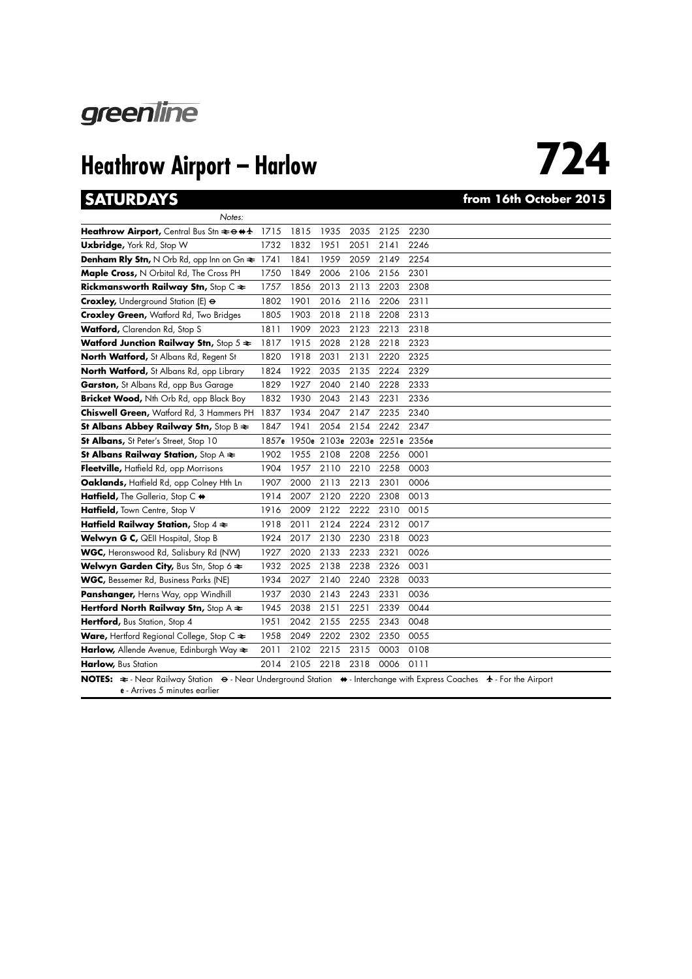

### **SATURDAYS from 16th October 2015**

| Notes:                                                                                                                                                             |       |      |      |      |      |                               |
|--------------------------------------------------------------------------------------------------------------------------------------------------------------------|-------|------|------|------|------|-------------------------------|
| Heathrow Airport, Central Bus Stn $\approx$ $\leftrightarrow$ $\leftrightarrow$ $\star$                                                                            | 1715  | 1815 | 1935 | 2035 | 2125 | 2230                          |
| <b>Uxbridge, York Rd, Stop W</b>                                                                                                                                   | 1732  | 1832 | 1951 | 2051 | 2141 | 2246                          |
| <b>Denham Rly Stn, N</b> Orb Rd, opp Inn on $G_n \approx 1741$                                                                                                     |       | 1841 | 1959 | 2059 | 2149 | 2254                          |
| Maple Cross, N Orbital Rd, The Cross PH                                                                                                                            | 1750  | 1849 | 2006 | 2106 | 2156 | 2301                          |
| Rickmansworth Railway Stn, Stop $C \rightleftharpoons$                                                                                                             | 1757  | 1856 | 2013 | 2113 | 2203 | 2308                          |
| Croxley, Underground Station (E) $\Theta$                                                                                                                          | 1802  | 1901 | 2016 | 2116 | 2206 | 2311                          |
| <b>Croxley Green, Watford Rd, Two Bridges</b>                                                                                                                      | 1805  | 1903 | 2018 | 2118 | 2208 | 2313                          |
| Watford, Clarendon Rd, Stop S                                                                                                                                      | 1811  | 1909 | 2023 | 2123 | 2213 | 2318                          |
| Watford Junction Railway Stn, Stop $5 \approx$                                                                                                                     | 1817  | 1915 | 2028 | 2128 | 2218 | 2323                          |
| North Watford, St Albans Rd, Regent St                                                                                                                             | 1820  | 1918 | 2031 | 2131 | 2220 | 2325                          |
| North Watford, St Albans Rd, opp Library                                                                                                                           | 1824  | 1922 | 2035 | 2135 | 2224 | 2329                          |
| Garston, St Albans Rd, opp Bus Garage                                                                                                                              | 1829  | 1927 | 2040 | 2140 | 2228 | 2333                          |
| Bricket Wood, Nth Orb Rd, opp Black Boy                                                                                                                            | 1832  | 1930 | 2043 | 2143 | 2231 | 2336                          |
| Chiswell Green, Watford Rd, 3 Hammers PH                                                                                                                           | 1837  | 1934 | 2047 | 2147 | 2235 | 2340                          |
| St Albans Abbey Railway Stn, Stop B $\geq$                                                                                                                         | 1847  | 1941 | 2054 | 2154 | 2242 | 2347                          |
| St Albans, St Peter's Street, Stop 10                                                                                                                              | 1857e |      |      |      |      | 1950e 2103e 2203e 2251e 2356e |
| St Albans Railway Station, Stop $A \rightleftarrows$                                                                                                               | 1902  | 1955 | 2108 | 2208 | 2256 | 0001                          |
| Fleetville, Hatfield Rd, opp Morrisons                                                                                                                             | 1904  | 1957 | 2110 | 2210 | 2258 | 0003                          |
| Oaklands, Hatfield Rd, opp Colney Hth Ln                                                                                                                           | 1907  | 2000 | 2113 | 2213 | 2301 | 0006                          |
| Hatfield, The Galleria, Stop C +                                                                                                                                   | 1914  | 2007 | 2120 | 2220 | 2308 | 0013                          |
| Hatfield, Town Centre, Stop V                                                                                                                                      | 1916  | 2009 | 2122 | 2222 | 2310 | 0015                          |
| Hatfield Railway Station, Stop $4 \geq$                                                                                                                            | 1918  | 2011 | 2124 | 2224 | 2312 | 0017                          |
| Welwyn G C, QEII Hospital, Stop B                                                                                                                                  | 1924  | 2017 | 2130 | 2230 | 2318 | 0023                          |
| WGC, Heronswood Rd, Salisbury Rd (NW)                                                                                                                              | 1927  | 2020 | 2133 | 2233 | 2321 | 0026                          |
| Welwyn Garden City, Bus Stn, Stop 6 $\Leftarrow$                                                                                                                   | 1932  | 2025 | 2138 | 2238 | 2326 | 0031                          |
| WGC, Bessemer Rd, Business Parks (NE)                                                                                                                              | 1934  | 2027 | 2140 | 2240 | 2328 | 0033                          |
| Panshanger, Herns Way, opp Windhill                                                                                                                                | 1937  | 2030 | 2143 | 2243 | 2331 | 0036                          |
| Hertford North Railway Stn, Stop A $\Leftarrow$                                                                                                                    | 1945  | 2038 | 2151 | 2251 | 2339 | 0044                          |
| Hertford, Bus Station, Stop 4                                                                                                                                      | 1951  | 2042 | 2155 | 2255 | 2343 | 0048                          |
| Ware, Hertford Regional College, Stop C $\Leftarrow$                                                                                                               | 1958  | 2049 | 2202 | 2302 | 2350 | 0055                          |
| Harlow, Allende Avenue, Edinburgh Way $\Leftarrow$                                                                                                                 | 2011  | 2102 | 2215 | 2315 | 0003 | 0108                          |
| Harlow, Bus Station                                                                                                                                                | 2014  | 2105 | 2218 | 2318 | 0006 | 0111                          |
| NOTES: $\cong$ - Near Railway Station $\Theta$ - Near Underground Station $\leftrightarrow$ - Interchange with Express Coaches $\leftrightarrow$ - For the Airport |       |      |      |      |      |                               |

**e** - Arrives 5 minutes earlier